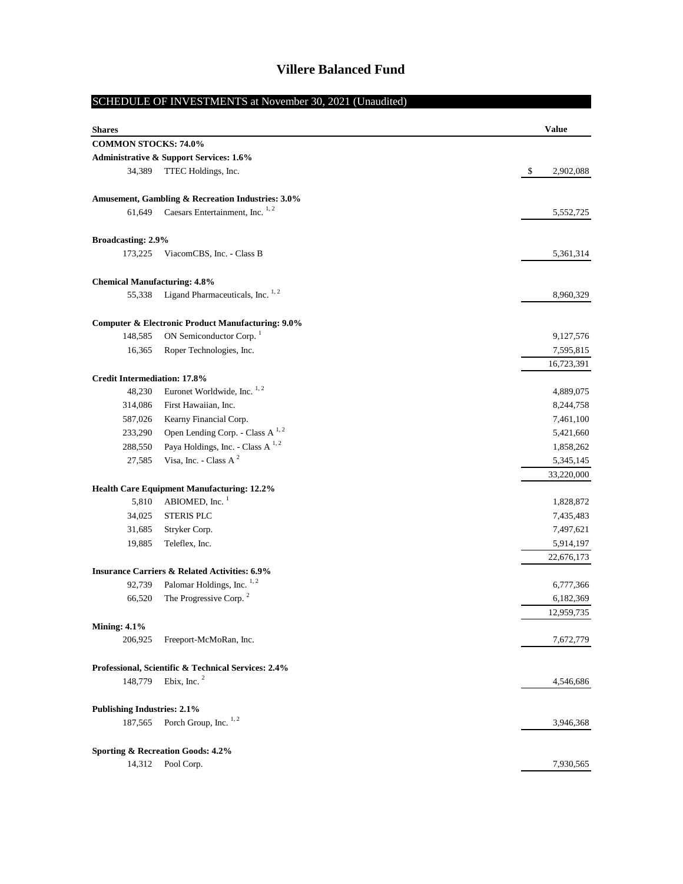# SCHEDULE OF INVESTMENTS at November 30, 2021 (Unaudited)

| <b>Shares</b>                       |                                                                           | <b>Value</b>            |
|-------------------------------------|---------------------------------------------------------------------------|-------------------------|
| COMMON STOCKS: 74.0%                |                                                                           |                         |
|                                     | <b>Administrative &amp; Support Services: 1.6%</b>                        |                         |
| 34,389                              | TTEC Holdings, Inc.                                                       | \$<br>2,902,088         |
|                                     | Amusement, Gambling & Recreation Industries: 3.0%                         |                         |
| 61,649                              | Caesars Entertainment, Inc. $1, 2$                                        | 5,552,725               |
| <b>Broadcasting: 2.9%</b>           |                                                                           |                         |
| 173,225                             | ViacomCBS, Inc. - Class B                                                 | 5,361,314               |
| <b>Chemical Manufacturing: 4.8%</b> |                                                                           |                         |
| 55,338                              | Ligand Pharmaceuticals, Inc. <sup>1,2</sup>                               | 8,960,329               |
|                                     | <b>Computer &amp; Electronic Product Manufacturing: 9.0%</b>              |                         |
| 148,585                             | ON Semiconductor Corp. <sup>1</sup>                                       | 9,127,576               |
| 16,365                              | Roper Technologies, Inc.                                                  | 7,595,815               |
|                                     |                                                                           | 16,723,391              |
| <b>Credit Intermediation: 17.8%</b> |                                                                           |                         |
| 48,230                              | Euronet Worldwide, Inc. <sup>1,2</sup>                                    | 4,889,075               |
| 314,086                             | First Hawaiian, Inc.                                                      | 8,244,758               |
| 587,026                             | Kearny Financial Corp.                                                    | 7,461,100               |
| 233,290                             | Open Lending Corp. - Class A <sup>1,2</sup>                               | 5,421,660               |
| 288,550                             | Paya Holdings, Inc. - Class A <sup>1,2</sup><br>Visa, Inc. - Class A $^2$ | 1,858,262               |
| 27,585                              |                                                                           | 5,345,145<br>33,220,000 |
|                                     | Health Care Equipment Manufacturing: 12.2%                                |                         |
| 5,810                               | ABIOMED, Inc. <sup>1</sup>                                                | 1,828,872               |
| 34,025                              | <b>STERIS PLC</b>                                                         | 7,435,483               |
| 31,685                              | Stryker Corp.                                                             | 7,497,621               |
| 19,885                              | Teleflex, Inc.                                                            | 5,914,197<br>22,676,173 |
|                                     | <b>Insurance Carriers &amp; Related Activities: 6.9%</b>                  |                         |
| 92,739                              | Palomar Holdings, Inc. 1, 2                                               | 6,777,366               |
| 66,520                              | The Progressive Corp. <sup>2</sup>                                        | 6,182,369               |
|                                     |                                                                           | 12,959,735              |
| <b>Mining: 4.1%</b>                 |                                                                           |                         |
| 206,925                             | Freeport-McMoRan, Inc.                                                    | 7,672,779               |
|                                     | Professional, Scientific & Technical Services: 2.4%                       |                         |
| 148,779                             | Ebix, Inc. $2$                                                            | 4,546,686               |
| <b>Publishing Industries: 2.1%</b>  |                                                                           |                         |
| 187,565                             | Porch Group, Inc. <sup>1,2</sup>                                          | 3,946,368               |
|                                     | Sporting & Recreation Goods: 4.2%                                         |                         |
| 14,312                              | Pool Corp.                                                                | 7,930,565               |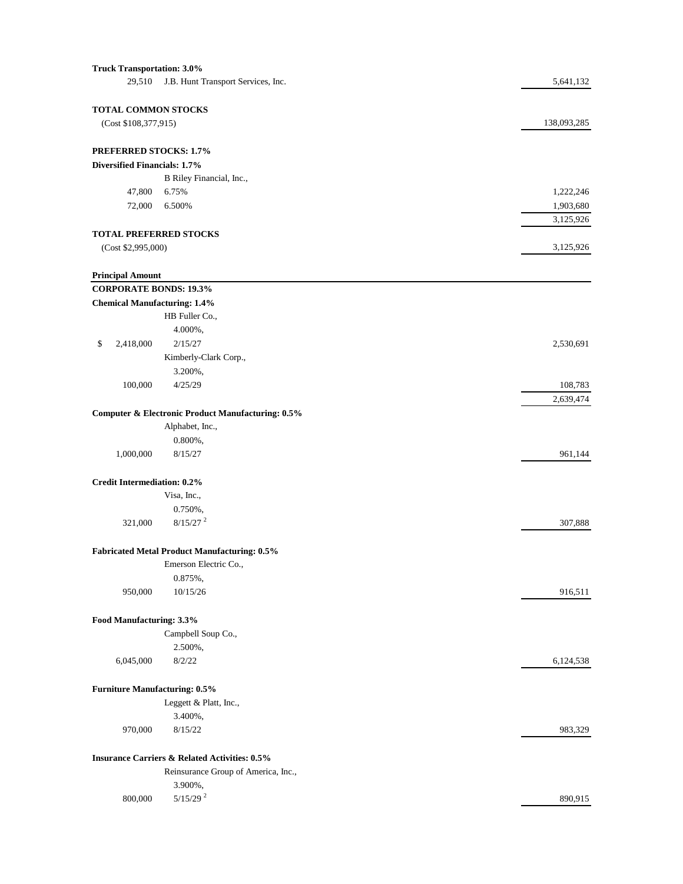| <b>Truck Transportation: 3.0%</b>    |                                                                              |             |
|--------------------------------------|------------------------------------------------------------------------------|-------------|
| 29,510                               | J.B. Hunt Transport Services, Inc.                                           | 5,641,132   |
| TOTAL COMMON STOCKS                  |                                                                              |             |
| (Cost \$108,377,915)                 |                                                                              | 138,093,285 |
| <b>PREFERRED STOCKS: 1.7%</b>        |                                                                              |             |
| Diversified Financials: 1.7%         |                                                                              |             |
|                                      | B Riley Financial, Inc.,                                                     |             |
| 47,800                               | 6.75%                                                                        | 1,222,246   |
| 72,000                               | 6.500%                                                                       | 1,903,680   |
|                                      |                                                                              | 3,125,926   |
| <b>TOTAL PREFERRED STOCKS</b>        |                                                                              |             |
| (Cost \$2,995,000)                   |                                                                              | 3,125,926   |
| <b>Principal Amount</b>              |                                                                              |             |
| <b>CORPORATE BONDS: 19.3%</b>        |                                                                              |             |
| <b>Chemical Manufacturing: 1.4%</b>  |                                                                              |             |
|                                      | HB Fuller Co.,                                                               |             |
|                                      | 4.000%,                                                                      |             |
| \$<br>2,418,000                      | 2/15/27                                                                      | 2,530,691   |
|                                      | Kimberly-Clark Corp.,                                                        |             |
|                                      | 3.200%,                                                                      |             |
| 100,000                              | 4/25/29                                                                      | 108,783     |
|                                      |                                                                              | 2,639,474   |
|                                      | Computer & Electronic Product Manufacturing: 0.5%                            |             |
|                                      | Alphabet, Inc.,                                                              |             |
|                                      | $0.800\%$ ,                                                                  |             |
| 1,000,000                            | 8/15/27                                                                      | 961,144     |
| <b>Credit Intermediation: 0.2%</b>   |                                                                              |             |
|                                      | Visa, Inc.,                                                                  |             |
|                                      | 0.750%,                                                                      |             |
| 321,000                              | $8/15/27$ <sup>2</sup>                                                       | 307,888     |
|                                      |                                                                              |             |
|                                      | <b>Fabricated Metal Product Manufacturing: 0.5%</b><br>Emerson Electric Co., |             |
|                                      | 0.875%,                                                                      |             |
| 950,000                              | 10/15/26                                                                     |             |
|                                      |                                                                              | 916,511     |
| Food Manufacturing: 3.3%             |                                                                              |             |
|                                      | Campbell Soup Co.,                                                           |             |
|                                      | 2.500%,                                                                      |             |
| 6,045,000                            | 8/2/22                                                                       | 6,124,538   |
| <b>Furniture Manufacturing: 0.5%</b> |                                                                              |             |
|                                      | Leggett & Platt, Inc.,                                                       |             |
|                                      | 3.400%,                                                                      |             |
| 970,000                              | 8/15/22                                                                      | 983,329     |
|                                      |                                                                              |             |
|                                      | <b>Insurance Carriers &amp; Related Activities: 0.5%</b>                     |             |
|                                      | Reinsurance Group of America, Inc.,                                          |             |
|                                      | 3.900%,                                                                      |             |
| 800,000                              | $5/15/29$ <sup>2</sup>                                                       | 890,915     |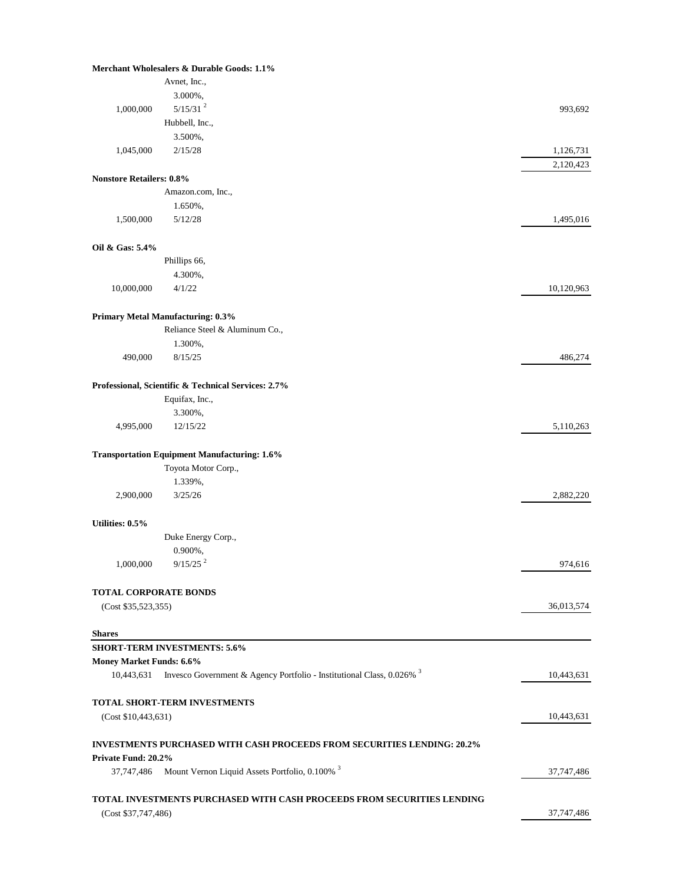|                                   | Merchant Wholesalers & Durable Goods: 1.1%                                     |            |
|-----------------------------------|--------------------------------------------------------------------------------|------------|
|                                   | Avnet, Inc.,                                                                   |            |
|                                   | 3.000%,                                                                        |            |
| 1,000,000                         | $5/15/31^{2}$                                                                  | 993,692    |
|                                   | Hubbell, Inc.,                                                                 |            |
|                                   | 3.500%,                                                                        |            |
| 1,045,000                         | 2/15/28                                                                        | 1,126,731  |
|                                   |                                                                                | 2,120,423  |
| <b>Nonstore Retailers: 0.8%</b>   |                                                                                |            |
|                                   | Amazon.com, Inc.,                                                              |            |
|                                   | 1.650%,                                                                        |            |
| 1,500,000                         | 5/12/28                                                                        | 1,495,016  |
| Oil & Gas: 5.4%                   |                                                                                |            |
|                                   | Phillips 66,                                                                   |            |
|                                   | 4.300%,                                                                        |            |
| 10,000,000                        | 4/1/22                                                                         | 10,120,963 |
|                                   | <b>Primary Metal Manufacturing: 0.3%</b>                                       |            |
|                                   | Reliance Steel & Aluminum Co.,                                                 |            |
|                                   | 1.300%,                                                                        |            |
| 490,000                           | 8/15/25                                                                        | 486,274    |
|                                   | Professional, Scientific & Technical Services: 2.7%                            |            |
|                                   | Equifax, Inc.,                                                                 |            |
|                                   | 3.300%,                                                                        |            |
| 4,995,000                         | 12/15/22                                                                       | 5,110,263  |
|                                   | <b>Transportation Equipment Manufacturing: 1.6%</b>                            |            |
|                                   | Toyota Motor Corp.,                                                            |            |
|                                   | 1.339%,                                                                        |            |
| 2,900,000                         | 3/25/26                                                                        | 2,882,220  |
| Utilities: 0.5%                   |                                                                                |            |
|                                   | Duke Energy Corp.,                                                             |            |
|                                   | $0.900\%$ ,                                                                    |            |
|                                   | $1,000,000$ 9/15/25 <sup>2</sup>                                               | 974,616    |
| <b>TOTAL CORPORATE BONDS</b>      |                                                                                |            |
| (Cost \$35,523,355)               |                                                                                | 36,013,574 |
| <b>Shares</b>                     |                                                                                |            |
|                                   | <b>SHORT-TERM INVESTMENTS: 5.6%</b>                                            |            |
| Money Market Funds: 6.6%          |                                                                                |            |
| 10,443,631                        | Invesco Government & Agency Portfolio - Institutional Class, 0.026% 3          | 10,443,631 |
|                                   | TOTAL SHORT-TERM INVESTMENTS                                                   |            |
| (Cost \$10,443,631)               |                                                                                | 10,443,631 |
|                                   | <b>INVESTMENTS PURCHASED WITH CASH PROCEEDS FROM SECURITIES LENDING: 20.2%</b> |            |
| Private Fund: 20.2%<br>37,747,486 | Mount Vernon Liquid Assets Portfolio, 0.100% <sup>3</sup>                      | 37,747,486 |
|                                   |                                                                                |            |
| (Cost \$37,747,486)               | TOTAL INVESTMENTS PURCHASED WITH CASH PROCEEDS FROM SECURITIES LENDING         |            |
|                                   |                                                                                | 37,747,486 |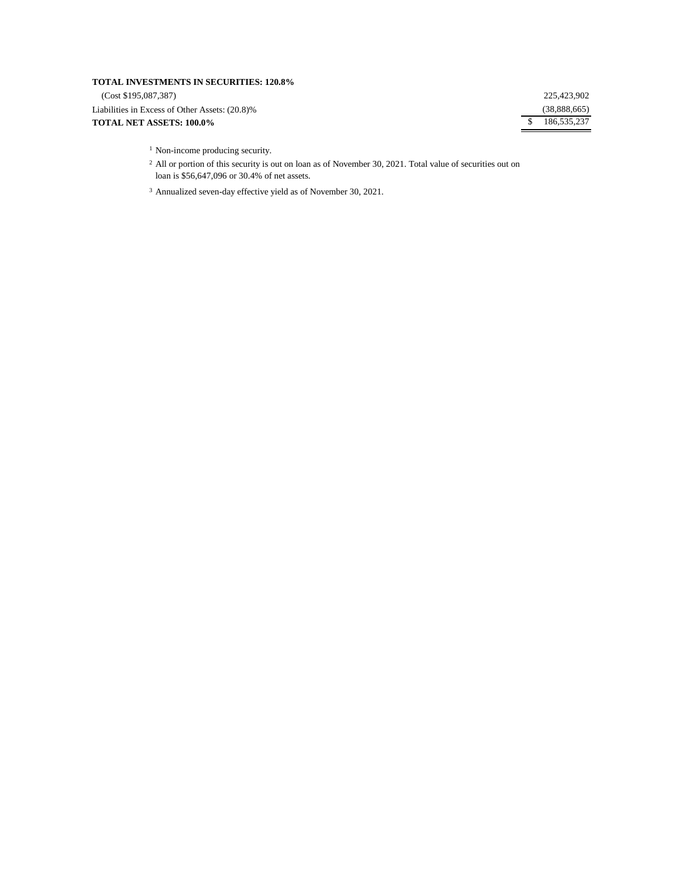## **TOTAL INVESTMENTS IN SECURITIES: 120.8%**

(Cost \$195,087,387)

Liabilities in Excess of Other Assets: (20.8)% **TOTAL NET ASSETS: 100.0%**

225,423,902 (38,888,665) \$ 186,535,237

<sup>1</sup> Non-income producing security.

<sup>2</sup> All or portion of this security is out on loan as of November 30, 2021. Total value of securities out on loan is \$56,647,096 or 30.4% of net assets.

<sup>3</sup> Annualized seven-day effective yield as of November 30, 2021.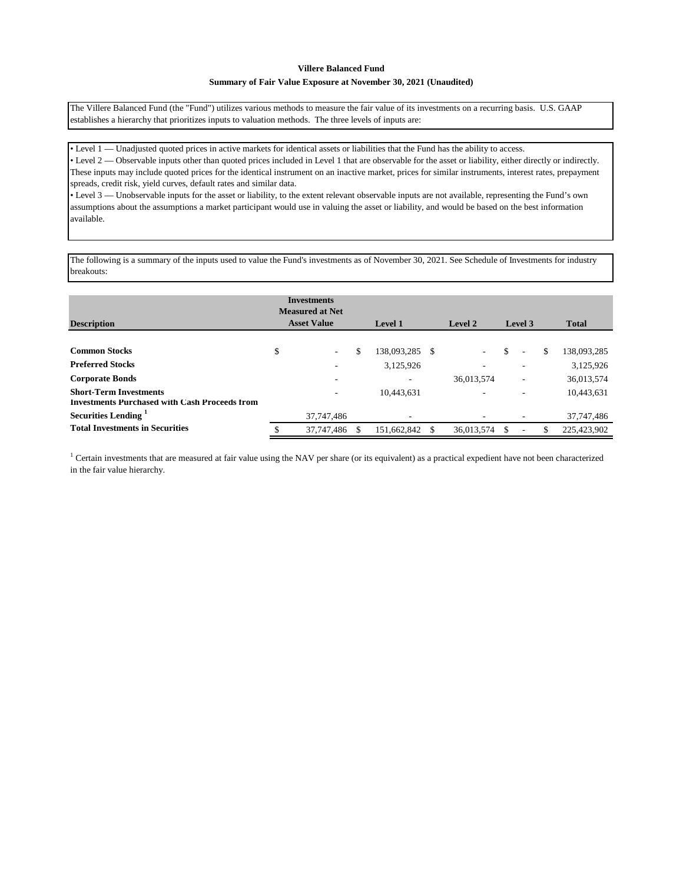### **Summary of Fair Value Exposure at November 30, 2021 (Unaudited)**

The Villere Balanced Fund (the "Fund") utilizes various methods to measure the fair value of its investments on a recurring basis. U.S. GAAP establishes a hierarchy that prioritizes inputs to valuation methods. The three levels of inputs are:

• Level 1 — Unadjusted quoted prices in active markets for identical assets or liabilities that the Fund has the ability to access.

• Level 2 — Observable inputs other than quoted prices included in Level 1 that are observable for the asset or liability, either directly or indirectly. These inputs may include quoted prices for the identical instrument on an inactive market, prices for similar instruments, interest rates, prepayment spreads, credit risk, yield curves, default rates and similar data.

• Level 3 — Unobservable inputs for the asset or liability, to the extent relevant observable inputs are not available, representing the Fund's own assumptions about the assumptions a market participant would use in valuing the asset or liability, and would be based on the best information available.

The following is a summary of the inputs used to value the Fund's investments as of November 30, 2021. See Schedule of Investments for industry breakouts:

| <b>Description</b>                                                                    | <b>Investments</b><br><b>Measured at Net</b><br><b>Asset Value</b> | <b>Level 1</b>    |               | Level 2                  | Level 3                        | <b>Total</b>      |
|---------------------------------------------------------------------------------------|--------------------------------------------------------------------|-------------------|---------------|--------------------------|--------------------------------|-------------------|
|                                                                                       |                                                                    |                   |               |                          |                                |                   |
| <b>Common Stocks</b>                                                                  | \$<br>$\sim$                                                       | \$<br>138,093,285 | <sup>\$</sup> | $\overline{\phantom{a}}$ | \$<br>$\overline{\phantom{a}}$ | \$<br>138,093,285 |
| <b>Preferred Stocks</b>                                                               |                                                                    | 3,125,926         |               | $\overline{\phantom{a}}$ | ۰                              | 3,125,926         |
| <b>Corporate Bonds</b>                                                                |                                                                    | -                 |               | 36,013,574               | ٠                              | 36,013,574        |
| <b>Short-Term Investments</b><br><b>Investments Purchased with Cash Proceeds from</b> |                                                                    | 10.443.631        |               | $\overline{\phantom{a}}$ | ۰                              | 10,443,631        |
| Securities Lending <sup>1</sup>                                                       | 37,747,486                                                         | ٠                 |               |                          | ۰                              | 37,747,486        |
| <b>Total Investments in Securities</b>                                                | 37,747,486                                                         | 151,662,842       |               | 36.013.574               |                                | 225,423,902       |

<sup>1</sup> Certain investments that are measured at fair value using the NAV per share (or its equivalent) as a practical expedient have not been characterized in the fair value hierarchy.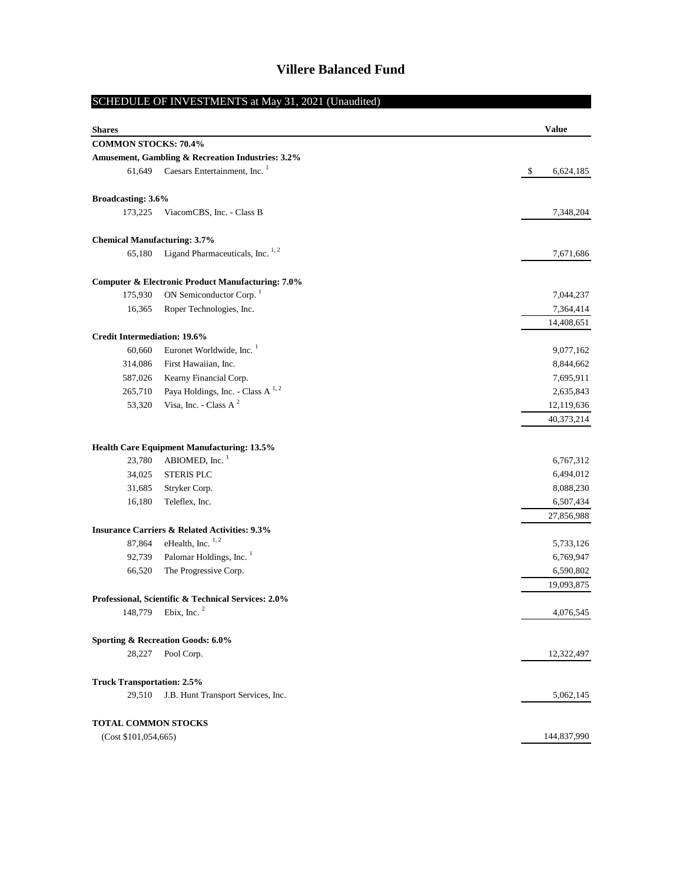# SCHEDULE OF INVESTMENTS at May 31, 2021 (Unaudited)

| <b>Shares</b>                       |                                                              | <b>Value</b>    |
|-------------------------------------|--------------------------------------------------------------|-----------------|
| <b>COMMON STOCKS: 70.4%</b>         |                                                              |                 |
|                                     | Amusement, Gambling & Recreation Industries: 3.2%            |                 |
| 61,649                              | Caesars Entertainment, Inc. <sup>1</sup>                     | \$<br>6,624,185 |
|                                     |                                                              |                 |
| Broadcasting: 3.6%                  |                                                              |                 |
| 173,225                             | ViacomCBS, Inc. - Class B                                    | 7,348,204       |
| <b>Chemical Manufacturing: 3.7%</b> |                                                              |                 |
| 65,180                              | Ligand Pharmaceuticals, Inc. <sup>1,2</sup>                  | 7,671,686       |
|                                     | <b>Computer &amp; Electronic Product Manufacturing: 7.0%</b> |                 |
| 175,930                             | ON Semiconductor Corp. <sup>1</sup>                          | 7,044,237       |
| 16,365                              | Roper Technologies, Inc.                                     | 7,364,414       |
|                                     |                                                              | 14,408,651      |
| <b>Credit Intermediation: 19.6%</b> |                                                              |                 |
| 60,660                              | Euronet Worldwide, Inc.                                      | 9,077,162       |
| 314,086                             | First Hawaiian, Inc.                                         | 8,844,662       |
| 587,026                             | Kearny Financial Corp.                                       | 7,695,911       |
| 265,710                             | Paya Holdings, Inc. - Class A <sup>1,2</sup>                 | 2,635,843       |
| 53,320                              | Visa, Inc. - Class A $^2$                                    | 12,119,636      |
|                                     |                                                              | 40,373,214      |
|                                     | Health Care Equipment Manufacturing: 13.5%                   |                 |
| 23,780                              | ABIOMED, Inc. <sup>1</sup>                                   | 6,767,312       |
| 34,025                              | <b>STERIS PLC</b>                                            | 6,494,012       |
| 31,685                              | Stryker Corp.                                                | 8,088,230       |
| 16,180                              | Teleflex, Inc.                                               | 6,507,434       |
|                                     |                                                              | 27,856,988      |
|                                     | <b>Insurance Carriers &amp; Related Activities: 9.3%</b>     |                 |
| 87,864                              | eHealth, Inc. $1, 2$                                         | 5,733,126       |
| 92,739                              | Palomar Holdings, Inc. <sup>1</sup>                          | 6,769,947       |
| 66,520                              | The Progressive Corp.                                        | 6,590,802       |
|                                     |                                                              | 19,093,875      |
|                                     | Professional, Scientific & Technical Services: 2.0%          |                 |
|                                     | 148,779 Ebix, Inc. <sup>2</sup>                              | 4,076,545       |
|                                     | Sporting & Recreation Goods: 6.0%                            |                 |
| 28,227                              | Pool Corp.                                                   | 12,322,497      |
| <b>Truck Transportation: 2.5%</b>   |                                                              |                 |
| 29,510                              | J.B. Hunt Transport Services, Inc.                           | 5,062,145       |
| TOTAL COMMON STOCKS                 |                                                              |                 |
| (Cost \$101,054,665)                |                                                              | 144,837,990     |
|                                     |                                                              |                 |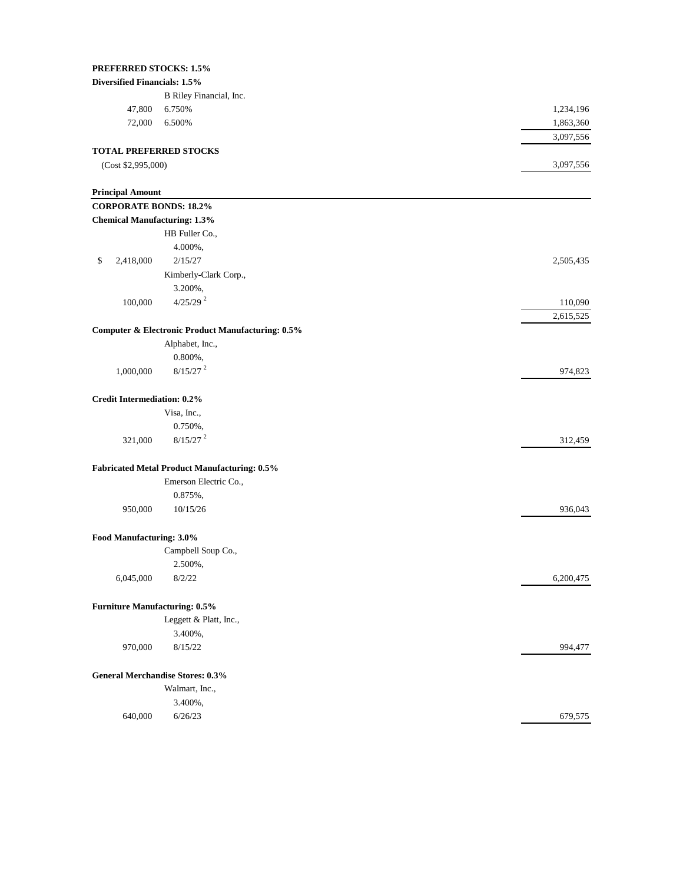| <b>PREFERRED STOCKS: 1.5%</b>        |                                                              |           |
|--------------------------------------|--------------------------------------------------------------|-----------|
| Diversified Financials: 1.5%         |                                                              |           |
|                                      | B Riley Financial, Inc.                                      |           |
| 47,800                               | 6.750%                                                       | 1,234,196 |
| 72,000                               | 6.500%                                                       | 1,863,360 |
|                                      |                                                              | 3,097,556 |
| <b>TOTAL PREFERRED STOCKS</b>        |                                                              |           |
| (Cost \$2,995,000)                   |                                                              | 3,097,556 |
|                                      |                                                              |           |
| <b>Principal Amount</b>              |                                                              |           |
| <b>CORPORATE BONDS: 18.2%</b>        |                                                              |           |
| <b>Chemical Manufacturing: 1.3%</b>  |                                                              |           |
|                                      | HB Fuller Co.,                                               |           |
|                                      | 4.000%,                                                      |           |
| 2,418,000<br>\$                      | 2/15/27                                                      | 2,505,435 |
|                                      | Kimberly-Clark Corp.,                                        |           |
|                                      | 3.200%,                                                      |           |
| 100,000                              | $4/25/29$ <sup>2</sup>                                       | 110,090   |
|                                      |                                                              | 2,615,525 |
|                                      | <b>Computer &amp; Electronic Product Manufacturing: 0.5%</b> |           |
|                                      | Alphabet, Inc.,                                              |           |
|                                      | $0.800\%$ ,                                                  |           |
| 1,000,000                            | $8/15/27$ <sup>2</sup>                                       | 974,823   |
|                                      |                                                              |           |
| <b>Credit Intermediation: 0.2%</b>   |                                                              |           |
|                                      | Visa, Inc.,                                                  |           |
|                                      | 0.750%,                                                      |           |
| 321,000                              | $8/15/27$ <sup>2</sup>                                       | 312,459   |
|                                      | <b>Fabricated Metal Product Manufacturing: 0.5%</b>          |           |
|                                      | Emerson Electric Co.,                                        |           |
|                                      | 0.875%,                                                      |           |
| 950,000                              | 10/15/26                                                     | 936,043   |
|                                      |                                                              |           |
| Food Manufacturing: 3.0%             |                                                              |           |
|                                      | Campbell Soup Co.,                                           |           |
|                                      | 2.500%,                                                      |           |
| 6,045,000                            | 8/2/22                                                       | 6,200,475 |
|                                      |                                                              |           |
| <b>Furniture Manufacturing: 0.5%</b> | Leggett & Platt, Inc.,                                       |           |
|                                      |                                                              |           |
|                                      | 3.400%,                                                      |           |
| 970,000                              | 8/15/22                                                      | 994,477   |
|                                      | <b>General Merchandise Stores: 0.3%</b>                      |           |
|                                      |                                                              |           |

# Walmart, Inc., 3.400%,

640,000 6/26/23 679,575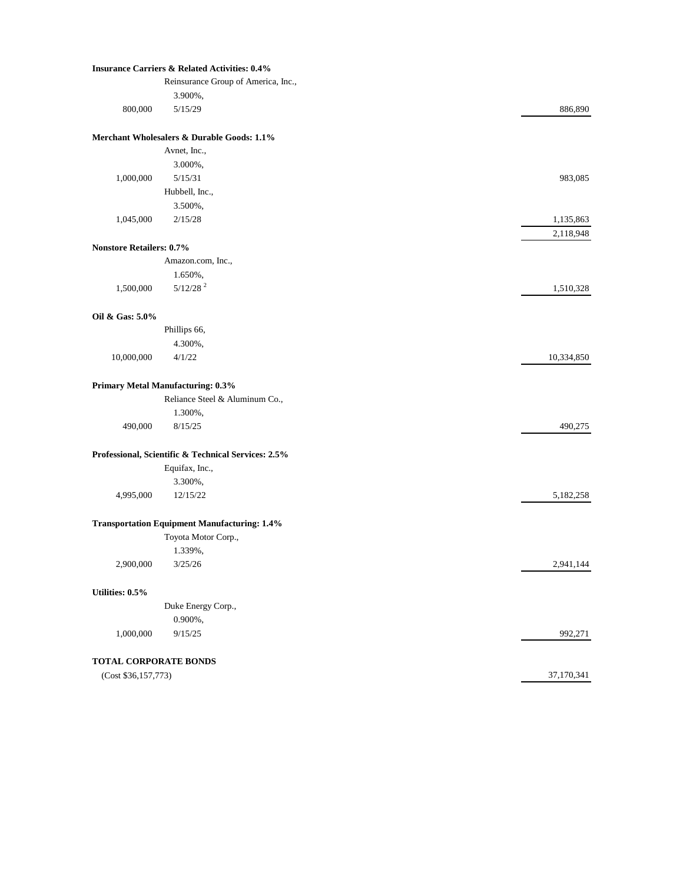## **Insurance Carriers & Related Activities: 0.4%**

|                                 | Reinsurance Group of America, Inc.,                 |            |
|---------------------------------|-----------------------------------------------------|------------|
|                                 | 3.900%,                                             |            |
| 800,000                         | 5/15/29                                             | 886,890    |
|                                 | Merchant Wholesalers & Durable Goods: 1.1%          |            |
|                                 | Avnet, Inc.,                                        |            |
|                                 | 3.000%,                                             |            |
| 1,000,000                       | 5/15/31                                             | 983,085    |
|                                 | Hubbell, Inc.,                                      |            |
|                                 | 3.500%,                                             |            |
| 1,045,000                       | 2/15/28                                             | 1,135,863  |
| <b>Nonstore Retailers: 0.7%</b> |                                                     | 2,118,948  |
|                                 | Amazon.com, Inc.,                                   |            |
|                                 | 1.650%,                                             |            |
| 1,500,000                       | $5/12/28$ <sup>2</sup>                              | 1,510,328  |
| Oil & Gas: 5.0%                 |                                                     |            |
|                                 | Phillips 66,                                        |            |
|                                 | 4.300%,                                             |            |
| 10,000,000                      | 4/1/22                                              | 10,334,850 |
|                                 | Primary Metal Manufacturing: 0.3%                   |            |
|                                 | Reliance Steel & Aluminum Co.,                      |            |
|                                 | 1.300%,                                             |            |
| 490,000                         | 8/15/25                                             | 490,275    |
|                                 | Professional, Scientific & Technical Services: 2.5% |            |
|                                 | Equifax, Inc.,                                      |            |
|                                 | 3.300%,                                             |            |
| 4,995,000                       | 12/15/22                                            | 5,182,258  |
|                                 | <b>Transportation Equipment Manufacturing: 1.4%</b> |            |
|                                 | Toyota Motor Corp.,                                 |            |
|                                 | 1.339%,                                             |            |
| 2,900,000                       | 3/25/26                                             | 2,941,144  |
| Utilities: 0.5%                 |                                                     |            |
|                                 |                                                     |            |
|                                 | Duke Energy Corp.,<br>0.900%,                       |            |
| 1,000,000                       | 9/15/25                                             | 992,271    |
|                                 |                                                     |            |
| <b>TOTAL CORPORATE BONDS</b>    |                                                     |            |
| (Cost \$36,157,773)             |                                                     | 37,170,341 |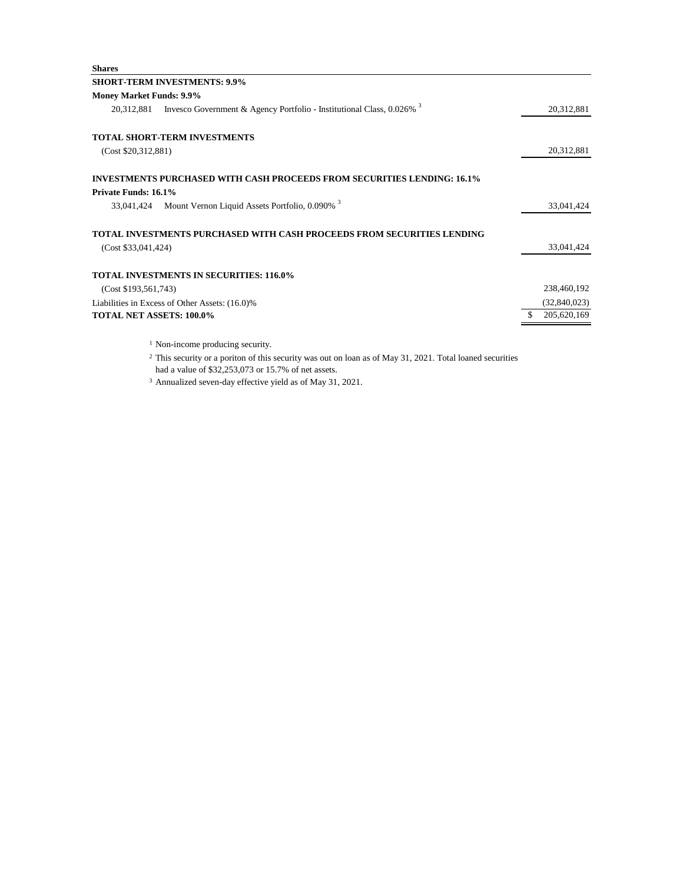| <b>Shares</b>                   |                                                                                     |              |
|---------------------------------|-------------------------------------------------------------------------------------|--------------|
|                                 | <b>SHORT-TERM INVESTMENTS: 9.9%</b>                                                 |              |
| <b>Money Market Funds: 9.9%</b> |                                                                                     |              |
| 20,312,881                      | Invesco Government & Agency Portfolio - Institutional Class, $0.026\%$ <sup>3</sup> | 20,312,881   |
|                                 | <b>TOTAL SHORT-TERM INVESTMENTS</b>                                                 |              |
| (Cost \$20,312,881)             |                                                                                     | 20,312,881   |
|                                 | <b>INVESTMENTS PURCHASED WITH CASH PROCEEDS FROM SECURITIES LENDING: 16.1%</b>      |              |
| Private Funds: 16.1%            |                                                                                     |              |
|                                 | 33,041,424 Mount Vernon Liquid Assets Portfolio, 0.090% 3                           | 33,041,424   |
|                                 | TOTAL INVESTMENTS PURCHASED WITH CASH PROCEEDS FROM SECURITIES LENDING              |              |
| (Cost \$33,041,424)             |                                                                                     | 33,041,424   |
|                                 | <b>TOTAL INVESTMENTS IN SECURITIES: 116.0%</b>                                      |              |
| (Cost \$193,561,743)            |                                                                                     | 238,460,192  |
|                                 | Liabilities in Excess of Other Assets: (16.0)%                                      | (32,840,023) |
| <b>TOTAL NET ASSETS: 100.0%</b> |                                                                                     | 205,620,169  |
|                                 | <sup>1</sup> Non-income producing security.                                         |              |

<sup>2</sup> This security or a poriton of this security was out on loan as of May 31, 2021. Total loaned securities

had a value of \$32,253,073 or 15.7% of net assets.

<sup>3</sup> Annualized seven-day effective yield as of May 31, 2021.